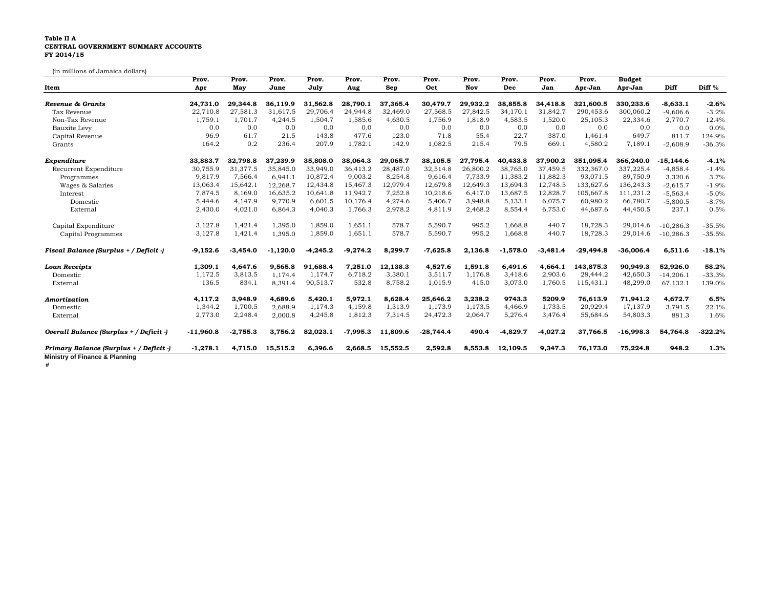## **Table II A CENTRAL GOVERNMENT SUMMARY ACCOUNTS FY 2014/15**

(in millions of Jamaica dollars)

|                                         | Prov.       | Prov.      | Prov.      | Prov.      | Prov.      | Prov.    | Prov.       | Prov.    | Prov.      | Prov.      | Prov.       | <b>Budget</b> |              |           |
|-----------------------------------------|-------------|------------|------------|------------|------------|----------|-------------|----------|------------|------------|-------------|---------------|--------------|-----------|
| Item                                    | Apr         | May        | June       | July       | Aug        | Sep      | Oct         | Nov      | Dec        | Jan        | Apr-Jan     | Apr-Jan       | Diff         | Diff %    |
| Revenue & Grants                        | 24.731.0    | 29,344.8   | 36,119.9   | 31.562.8   | 28.790.1   | 37,365.4 | 30,479.7    | 29.932.2 | 38,855.8   | 34.418.8   | 321,600.5   | 330,233.6     | $-8.633.1$   | $-2.6%$   |
| Tax Revenue                             | 22,710.8    | 27,581.3   | 31,617.5   | 29,706.4   | 24,944.8   | 32,469.0 | 27,568.5    | 27,842.5 | 34,170.1   | 31,842.7   | 290,453.6   | 300,060.2     | $-9,606.6$   | $-3.2%$   |
| Non-Tax Revenue                         | 1,759.1     | 1,701.7    | 4,244.5    | 1,504.7    | 1,585.6    | 4,630.5  | 1,756.9     | 1,818.9  | 4,583.5    | 1,520.0    | 25,105.3    | 22,334.6      | 2,770.7      | 12.4%     |
| Bauxite Levy                            | 0.0         | 0.0        | 0.0        | 0.0        | 0.0        | 0.0      | 0.0         | 0.0      | 0.0        | 0.0        | 0.0         | 0.0           | 0.0          | 0.0%      |
| Capital Revenue                         | 96.9        | 61.7       | 21.5       | 143.8      | 477.6      | 123.0    | 71.8        | 55.4     | 22.7       | 387.0      | 1,461.4     | 649.7         | 811.7        | 124.9%    |
| Grants                                  | 164.2       | 0.2        | 236.4      | 207.9      | 1,782.1    | 142.9    | 1,082.5     | 215.4    | 79.5       | 669.1      | 4,580.2     | 7,189.        | $-2,608.9$   | $-36.3%$  |
| Expenditure                             | 33,883.7    | 32,798.8   | 37,239.9   | 35,808.0   | 38,064.3   | 29,065.7 | 38,105.5    | 27,795.4 | 40,433.8   | 37,900.2   | 351,095.4   | 366,240.0     | $-15, 144.6$ | $-4.1%$   |
| Recurrent Expenditure                   | 30,755.9    | 31,377.5   | 35,845.0   | 33,949.0   | 36,413.2   | 28,487.0 | 32,514.8    | 26,800.2 | 38,765.0   | 37,459.5   | 332,367.0   | 337,225.4     | $-4,858.4$   | $-1.4%$   |
| Programmes                              | 9,817.9     | 7,566.4    | 6,941.1    | 10,872.4   | 9,003.2    | 8,254.8  | 9,616.4     | 7,733.9  | 11,383.2   | 11,882.3   | 93,071.5    | 89,750.9      | 3,320.6      | 3.7%      |
| Wages & Salaries                        | 13,063.4    | 15,642.1   | 12,268.7   | 12,434.8   | 15,467.3   | 12,979.4 | 12,679.8    | 12,649.3 | 13,694.3   | 12,748.5   | 133,627.6   | 136,243.3     | $-2,615.7$   | $-1.9%$   |
| Interest                                | 7,874.5     | 8,169.0    | 16,635.2   | 10,641.8   | 11,942.7   | 7,252.8  | 10,218.6    | 6.417.0  | 13,687.5   | 12,828.7   | 105,667.8   | 111,231.2     | $-5,563.4$   | $-5.0%$   |
| Domestic                                | 5,444.6     | 4,147.9    | 9,770.9    | 6,601.5    | 10,176.4   | 4,274.6  | 5,406.7     | 3,948.8  | 5,133.1    | 6,075.7    | 60,980.2    | 66,780.7      | $-5,800.5$   | $-8.7%$   |
| External                                | 2,430.0     | 4,021.0    | 6,864.3    | 4,040.3    | 1,766.3    | 2,978.2  | 4,811.9     | 2,468.2  | 8,554.4    | 6,753.0    | 44,687.6    | 44,450.5      | 237.1        | 0.5%      |
| Capital Expenditure                     | 3,127.8     | 1,421.4    | 1,395.0    | 1,859.0    | 1,651.1    | 578.7    | 5,590.7     | 995.2    | 1,668.8    | 440.7      | 18,728.3    | 29,014.6      | $-10,286.3$  | $-35.5%$  |
| Capital Programmes                      | 3,127.8     | 1,421.4    | 1,395.0    | 1,859.0    | 1,651.1    | 578.7    | 5,590.7     | 995.2    | 1,668.8    | 440.7      | 18,728.3    | 29,014.6      | $-10,286.3$  | $-35.5%$  |
| Fiscal Balance (Surplus + / Deficit -)  | $-9,152.6$  | $-3,454.0$ | $-1,120.0$ | $-4,245.2$ | $-9,274.2$ | 8,299.7  | $-7,625.8$  | 2,136.8  | $-1,578.0$ | $-3,481.4$ | $-29,494.8$ | $-36,006.4$   | 6,511.6      | $-18.1%$  |
| <b>Loan Receipts</b>                    | 1,309.1     | 4,647.6    | 9,565.8    | 91.688.4   | 7,251.0    | 12,138.3 | 4,527.6     | 1,591.8  | 6,491.6    | 4.664.1    | 143,875.3   | 90,949.3      | 52,926.0     | 58.2%     |
| Domestic                                | 1,172.5     | 3,813.5    | 1,174.4    | 1,174.7    | 6,718.2    | 3,380.1  | 3,511.7     | 1,176.8  | 3,418.6    | 2,903.6    | 28,444.2    | 42,650.3      | $-14,206.1$  | $-33.3%$  |
| External                                | 136.5       | 834.1      | 8,391.4    | 90,513.7   | 532.8      | 8,758.2  | 1,015.9     | 415.0    | 3,073.0    | 1,760.5    | 115,431.1   | 48,299.0      | 67,132.1     | 139.0%    |
| Amortization                            | 4,117.2     | 3,948.9    | 4,689.6    | 5,420.1    | 5,972.1    | 8,628.4  | 25,646.2    | 3,238.2  | 9743.3     | 5209.9     | 76,613.9    | 71,941.2      | 4,672.7      | 6.5%      |
| Domestic                                | 1,344.2     | 1,700.5    | 2,688.9    | 1,174.3    | 4,159.8    | 1,313.9  | 1,173.9     | 1,173.5  | 4,466.9    | 1,733.5    | 20,929.4    | 17,137.9      | 3,791.5      | 22.1%     |
| External                                | 2,773.0     | 2,248.4    | 2,000.8    | 4,245.8    | 1,812.3    | 7,314.5  | 24,472.3    | 2,064.7  | 5,276.4    | 3,476.4    | 55,684.6    | 54,803.3      | 881.3        | 1.6%      |
| Overall Balance (Surplus + / Deficit -) | $-11,960.8$ | $-2,755.3$ | 3,756.2    | 82,023.1   | $-7,995.3$ | 11,809.6 | $-28,744.4$ | 490.4    | $-4,829.7$ | $-4,027.2$ | 37.766.5    | $-16,998.3$   | 54,764.8     | $-322.2%$ |
| Primary Balance (Surplus + / Deficit -) | $-1,278.1$  | 4,715.0    | 15,515.2   | 6,396.6    | 2,668.5    | 15,552.5 | 2,592.8     | 8,553.8  | 12,109.5   | 9,347.3    | 76,173.0    | 75,224.8      | 948.2        | 1.3%      |

**#**